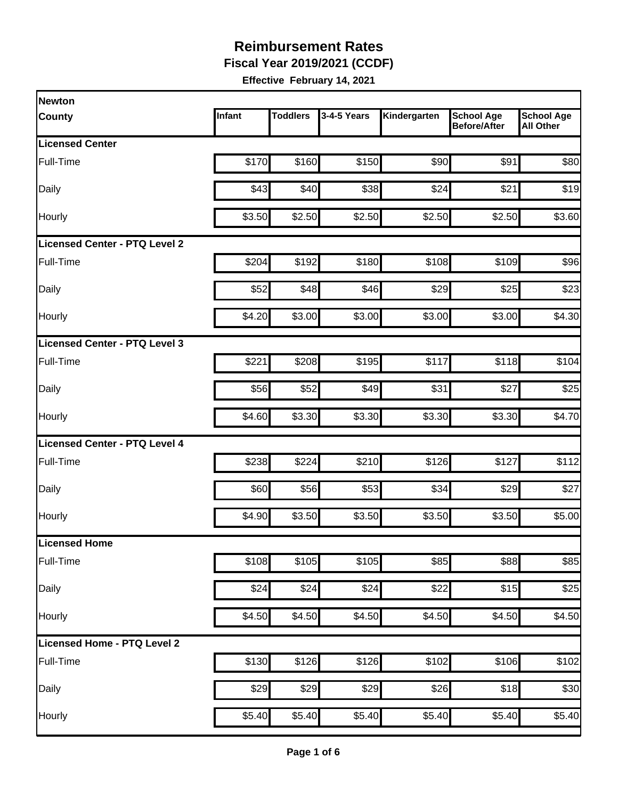**Fiscal Year 2019/2021 (CCDF)** 

| Newton                        |        |                 |             |              |                                          |                                       |
|-------------------------------|--------|-----------------|-------------|--------------|------------------------------------------|---------------------------------------|
| <b>County</b>                 | Infant | <b>Toddlers</b> | 3-4-5 Years | Kindergarten | <b>School Age</b><br><b>Before/After</b> | <b>School Age</b><br><b>All Other</b> |
| <b>Licensed Center</b>        |        |                 |             |              |                                          |                                       |
| Full-Time                     | \$170  | \$160           | \$150       | \$90         | \$91                                     | \$80                                  |
| Daily                         | \$43   | \$40            | \$38        | \$24         | \$21                                     | \$19                                  |
| Hourly                        | \$3.50 | \$2.50          | \$2.50      | \$2.50       | \$2.50                                   | \$3.60                                |
| Licensed Center - PTQ Level 2 |        |                 |             |              |                                          |                                       |
| Full-Time                     | \$204  | \$192           | \$180       | \$108        | \$109                                    | \$96                                  |
| Daily                         | \$52   | \$48]           | \$46        | \$29         | \$25                                     | \$23                                  |
| Hourly                        | \$4.20 | \$3.00          | \$3.00      | \$3.00       | \$3.00                                   | \$4.30                                |
| Licensed Center - PTQ Level 3 |        |                 |             |              |                                          |                                       |
| Full-Time                     | \$221  | \$208           | \$195       | \$117        | \$118                                    | \$104                                 |
| Daily                         | \$56   | \$52            | \$49        | \$31         | \$27                                     | \$25                                  |
| Hourly                        | \$4.60 | \$3.30          | \$3.30      | \$3.30       | \$3.30                                   | \$4.70                                |
| Licensed Center - PTQ Level 4 |        |                 |             |              |                                          |                                       |
| Full-Time                     | \$238  | \$224           | \$210       | \$126        | \$127                                    | \$112                                 |
| Daily                         | \$60   | \$56            | \$53        | \$34         | \$29                                     | \$27                                  |
| Hourly                        | \$4.90 | \$3.50          | \$3.50      | \$3.50       | \$3.50                                   | \$5.00                                |
| Licensed Home                 |        |                 |             |              |                                          |                                       |
| Full-Time                     | \$108  | \$105           | \$105       | \$85         | \$88                                     | \$85                                  |
| Daily                         | \$24   | \$24            | \$24        | \$22         | \$15                                     | \$25                                  |
| Hourly                        | \$4.50 | \$4.50          | \$4.50      | \$4.50       | \$4.50                                   | \$4.50                                |
| Licensed Home - PTQ Level 2   |        |                 |             |              |                                          |                                       |
| Full-Time                     | \$130  | \$126           | \$126       | \$102        | \$106                                    | \$102                                 |
| Daily                         | \$29   | \$29            | \$29        | \$26         | \$18                                     | \$30                                  |
| Hourly                        | \$5.40 | \$5.40          | \$5.40      | \$5.40       | \$5.40                                   | \$5.40                                |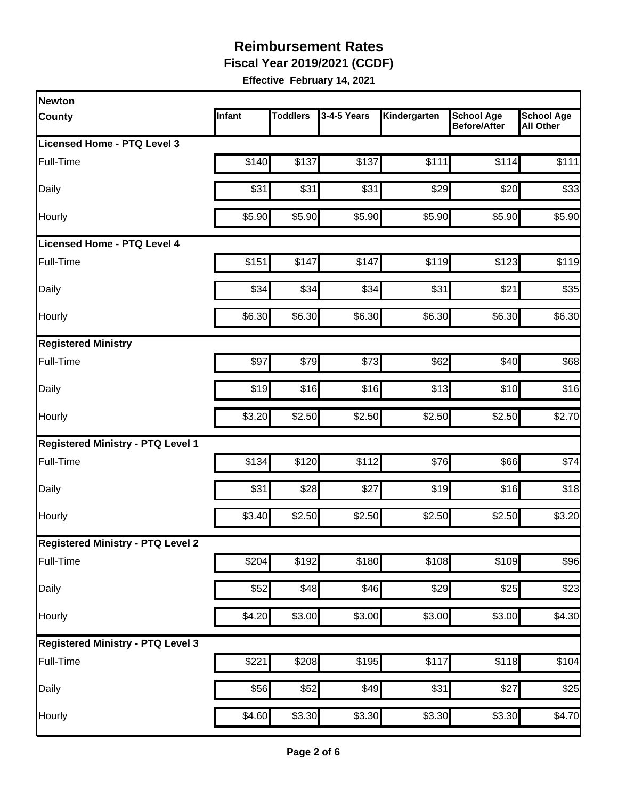**Fiscal Year 2019/2021 (CCDF)** 

| Newton                                   |        |                 |             |                    |                                          |                                       |
|------------------------------------------|--------|-----------------|-------------|--------------------|------------------------------------------|---------------------------------------|
| <b>County</b>                            | Infant | <b>Toddlers</b> | 3-4-5 Years | Kindergarten       | <b>School Age</b><br><b>Before/After</b> | <b>School Age</b><br><b>All Other</b> |
| Licensed Home - PTQ Level 3              |        |                 |             |                    |                                          |                                       |
| Full-Time                                | \$140  | \$137           | \$137       | \$111              | \$114                                    | \$111                                 |
| Daily                                    | \$31   | \$31            | \$31        | \$29               | \$20                                     | \$33                                  |
| Hourly                                   | \$5.90 | \$5.90          | \$5.90      | \$5.90             | \$5.90                                   | \$5.90                                |
| <b>Licensed Home - PTQ Level 4</b>       |        |                 |             |                    |                                          |                                       |
| Full-Time                                | \$151  | \$147           | \$147       | \$119              | \$123                                    | \$119                                 |
| Daily                                    | \$34   | \$34            | \$34        | \$31               | \$21                                     | \$35                                  |
| Hourly                                   | \$6.30 | \$6.30          | \$6.30      | \$6.30             | \$6.30                                   | \$6.30                                |
| <b>Registered Ministry</b>               |        |                 |             |                    |                                          |                                       |
| Full-Time                                | \$97   | \$79            | \$73        | \$62               | \$40                                     | \$68                                  |
| Daily                                    | \$19   | \$16            | \$16        | \$13               | \$10                                     | \$16                                  |
| Hourly                                   | \$3.20 | \$2.50          | \$2.50      | \$2.50             | \$2.50                                   | \$2.70                                |
| <b>Registered Ministry - PTQ Level 1</b> |        |                 |             |                    |                                          |                                       |
| Full-Time                                | \$134  | \$120           | \$112       | \$76               | \$66                                     | \$74                                  |
| Daily                                    | \$31   | \$28            | \$27        | \$19               | \$16                                     | \$18                                  |
| Hourly                                   | \$3.40 | \$2.50          | \$2.50      | \$2.50             | \$2.50                                   | \$3.20                                |
| <b>Registered Ministry - PTQ Level 2</b> |        |                 |             |                    |                                          |                                       |
| Full-Time                                | \$204  | \$192           | \$180       | \$108              | \$109                                    | \$96                                  |
| Daily                                    | \$52   | \$48            | \$46        | \$29               | \$25                                     | \$23                                  |
| Hourly                                   | \$4.20 | \$3.00          | \$3.00      | \$3.00             | \$3.00                                   | \$4.30                                |
| <b>Registered Ministry - PTQ Level 3</b> |        |                 |             |                    |                                          |                                       |
| Full-Time                                | \$221  | \$208]          | \$195       | \$117              | \$118                                    | \$104                                 |
| Daily                                    | \$56   | \$52            | \$49        | \$31               | \$27                                     | \$25                                  |
| Hourly                                   | \$4.60 | \$3.30          | \$3.30      | $\overline{$3.30}$ | \$3.30                                   | \$4.70                                |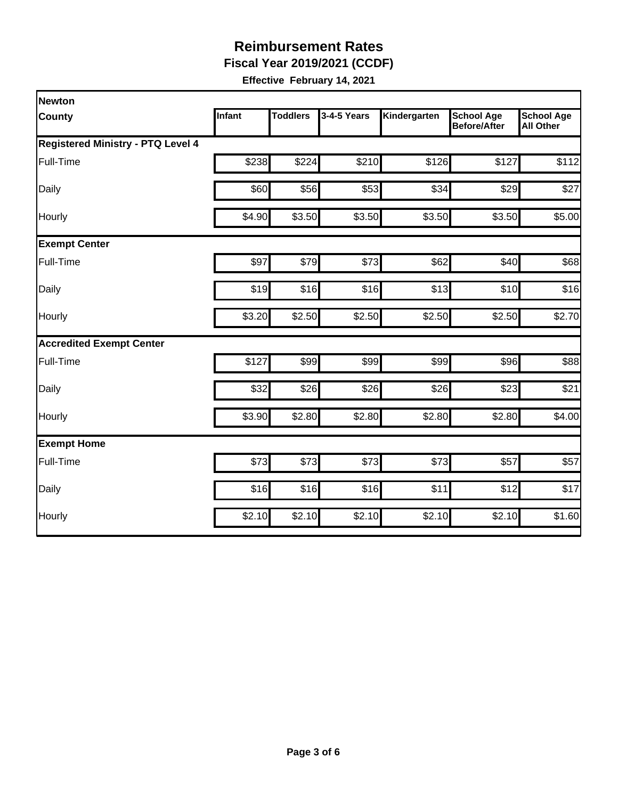**Fiscal Year 2019/2021 (CCDF)** 

| Newton                                   |        |                 |             |              |                                          |                                       |
|------------------------------------------|--------|-----------------|-------------|--------------|------------------------------------------|---------------------------------------|
| <b>County</b>                            | Infant | <b>Toddlers</b> | 3-4-5 Years | Kindergarten | <b>School Age</b><br><b>Before/After</b> | <b>School Age</b><br><b>All Other</b> |
| <b>Registered Ministry - PTQ Level 4</b> |        |                 |             |              |                                          |                                       |
| Full-Time                                | \$238  | \$224           | \$210       | \$126        | \$127                                    | \$112                                 |
| Daily                                    | \$60   | \$56            | \$53        | \$34         | \$29                                     | \$27                                  |
| Hourly                                   | \$4.90 | \$3.50          | \$3.50      | \$3.50       | \$3.50                                   | \$5.00                                |
| <b>Exempt Center</b>                     |        |                 |             |              |                                          |                                       |
| Full-Time                                | \$97   | \$79            | \$73        | \$62         | \$40                                     | \$68                                  |
| Daily                                    | \$19   | \$16            | \$16        | \$13         | \$10                                     | \$16                                  |
| Hourly                                   | \$3.20 | \$2.50          | \$2.50      | \$2.50       | \$2.50                                   | \$2.70                                |
| <b>Accredited Exempt Center</b>          |        |                 |             |              |                                          |                                       |
| Full-Time                                | \$127  | \$99            | \$99        | \$99         | \$96                                     | \$88                                  |
| Daily                                    | \$32   | \$26            | \$26        | \$26         | \$23                                     | \$21                                  |
| Hourly                                   | \$3.90 | \$2.80          | \$2.80      | \$2.80       | \$2.80                                   | \$4.00                                |
| <b>Exempt Home</b>                       |        |                 |             |              |                                          |                                       |
| Full-Time                                | \$73   | \$73            | \$73        | \$73         | \$57                                     | \$57                                  |
| Daily                                    | \$16   | \$16            | \$16        | \$11         | \$12                                     | \$17                                  |
| Hourly                                   | \$2.10 | \$2.10          | \$2.10      | \$2.10       | \$2.10                                   | \$1.60                                |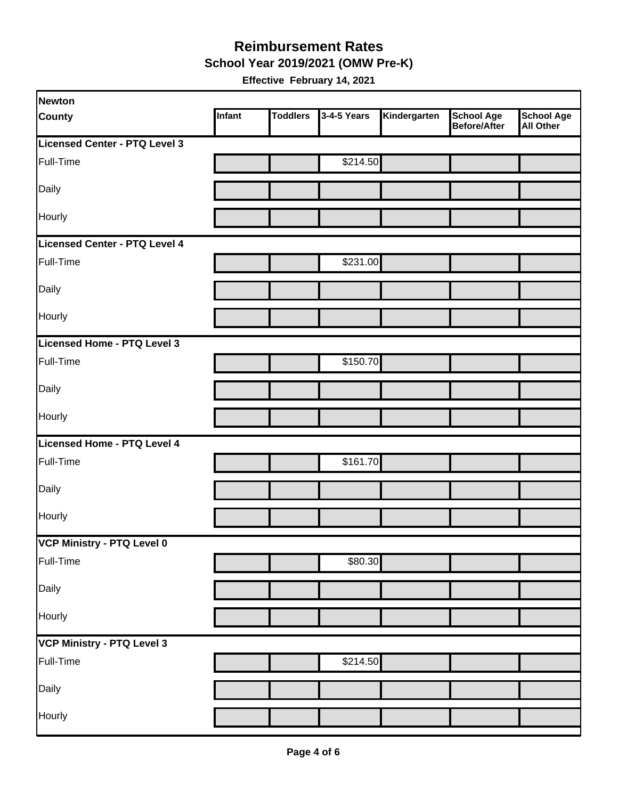#### **Reimbursement Rates School Year 2019/2021 (OMW Pre-K)**

| Newton                        |        |                 |             |              |                                          |                                       |
|-------------------------------|--------|-----------------|-------------|--------------|------------------------------------------|---------------------------------------|
| <b>County</b>                 | Infant | <b>Toddlers</b> | 3-4-5 Years | Kindergarten | <b>School Age</b><br><b>Before/After</b> | <b>School Age</b><br><b>All Other</b> |
| Licensed Center - PTQ Level 3 |        |                 |             |              |                                          |                                       |
| Full-Time                     |        |                 | \$214.50    |              |                                          |                                       |
| Daily                         |        |                 |             |              |                                          |                                       |
| Hourly                        |        |                 |             |              |                                          |                                       |
| Licensed Center - PTQ Level 4 |        |                 |             |              |                                          |                                       |
| Full-Time                     |        |                 | \$231.00    |              |                                          |                                       |
| Daily                         |        |                 |             |              |                                          |                                       |
| Hourly                        |        |                 |             |              |                                          |                                       |
| Licensed Home - PTQ Level 3   |        |                 |             |              |                                          |                                       |
| Full-Time                     |        |                 | \$150.70    |              |                                          |                                       |
| Daily                         |        |                 |             |              |                                          |                                       |
| Hourly                        |        |                 |             |              |                                          |                                       |
| Licensed Home - PTQ Level 4   |        |                 |             |              |                                          |                                       |
| Full-Time                     |        |                 | \$161.70    |              |                                          |                                       |
| Daily                         |        |                 |             |              |                                          |                                       |
| Hourly                        |        |                 |             |              |                                          |                                       |
| VCP Ministry - PTQ Level 0    |        |                 |             |              |                                          |                                       |
| Full-Time                     |        |                 | \$80.30     |              |                                          |                                       |
| Daily                         |        |                 |             |              |                                          |                                       |
| Hourly                        |        |                 |             |              |                                          |                                       |
| VCP Ministry - PTQ Level 3    |        |                 |             |              |                                          |                                       |
| Full-Time                     |        |                 | \$214.50    |              |                                          |                                       |
| Daily                         |        |                 |             |              |                                          |                                       |
| Hourly                        |        |                 |             |              |                                          |                                       |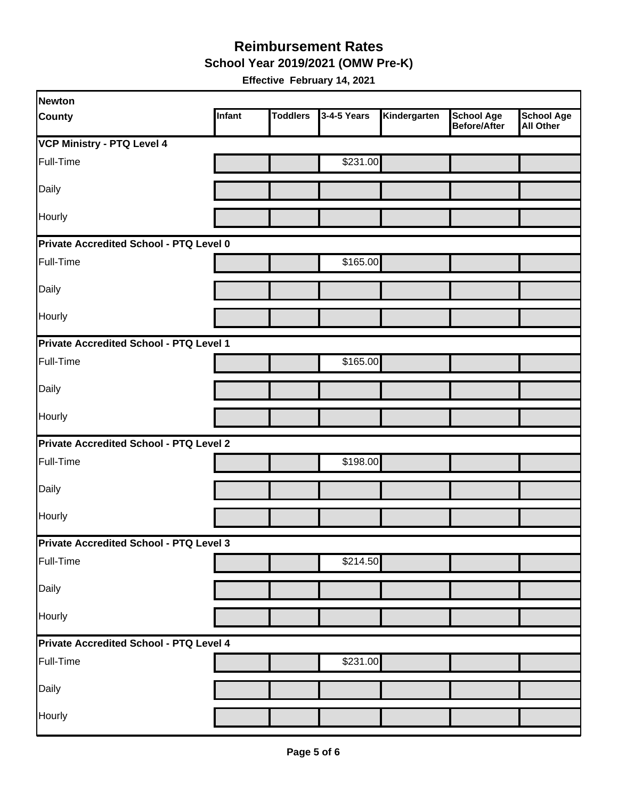**School Year 2019/2021 (OMW Pre-K)** 

| Newton                                  |        |                 |             |              |                                   |                                       |
|-----------------------------------------|--------|-----------------|-------------|--------------|-----------------------------------|---------------------------------------|
| <b>County</b>                           | Infant | <b>Toddlers</b> | 3-4-5 Years | Kindergarten | <b>School Age</b><br>Before/After | <b>School Age</b><br><b>All Other</b> |
| VCP Ministry - PTQ Level 4              |        |                 |             |              |                                   |                                       |
| Full-Time                               |        |                 | \$231.00    |              |                                   |                                       |
| Daily                                   |        |                 |             |              |                                   |                                       |
| Hourly                                  |        |                 |             |              |                                   |                                       |
| Private Accredited School - PTQ Level 0 |        |                 |             |              |                                   |                                       |
| Full-Time                               |        |                 | \$165.00    |              |                                   |                                       |
| Daily                                   |        |                 |             |              |                                   |                                       |
| Hourly                                  |        |                 |             |              |                                   |                                       |
| Private Accredited School - PTQ Level 1 |        |                 |             |              |                                   |                                       |
| Full-Time                               |        |                 | \$165.00    |              |                                   |                                       |
| Daily                                   |        |                 |             |              |                                   |                                       |
| Hourly                                  |        |                 |             |              |                                   |                                       |
| Private Accredited School - PTQ Level 2 |        |                 |             |              |                                   |                                       |
| Full-Time                               |        |                 | \$198.00    |              |                                   |                                       |
| Daily                                   |        |                 |             |              |                                   |                                       |
| Hourly                                  |        |                 |             |              |                                   |                                       |
| Private Accredited School - PTQ Level 3 |        |                 |             |              |                                   |                                       |
| Full-Time                               |        |                 | \$214.50    |              |                                   |                                       |
| Daily                                   |        |                 |             |              |                                   |                                       |
| Hourly                                  |        |                 |             |              |                                   |                                       |
| Private Accredited School - PTQ Level 4 |        |                 |             |              |                                   |                                       |
| Full-Time                               |        |                 | \$231.00    |              |                                   |                                       |
| Daily                                   |        |                 |             |              |                                   |                                       |
| Hourly                                  |        |                 |             |              |                                   |                                       |